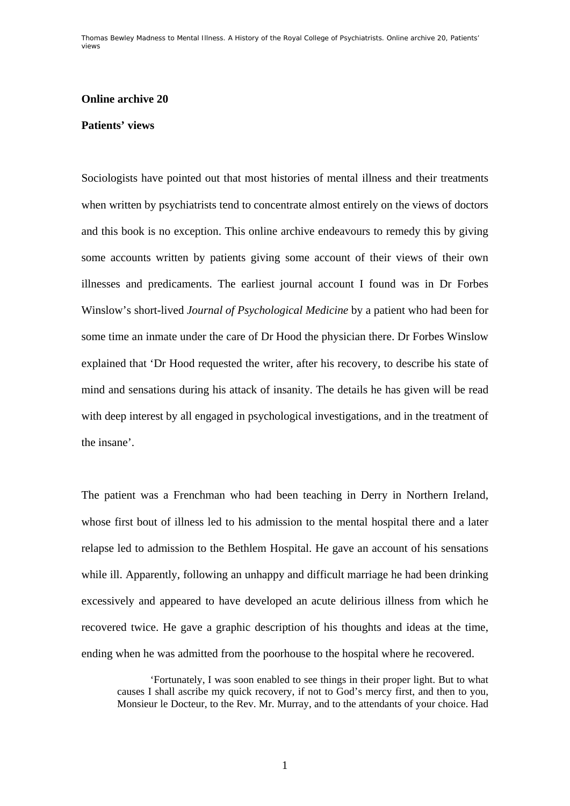## **Online archive 20**

## **Patients' views**

Sociologists have pointed out that most histories of mental illness and their treatments when written by psychiatrists tend to concentrate almost entirely on the views of doctors and this book is no exception. This online archive endeavours to remedy this by giving some accounts written by patients giving some account of their views of their own illnesses and predicaments. The earliest journal account I found was in Dr Forbes Winslow's short-lived *Journal of Psychological Medicine* by a patient who had been for some time an inmate under the care of Dr Hood the physician there. Dr Forbes Winslow explained that 'Dr Hood requested the writer, after his recovery, to describe his state of mind and sensations during his attack of insanity. The details he has given will be read with deep interest by all engaged in psychological investigations, and in the treatment of the insane'.

The patient was a Frenchman who had been teaching in Derry in Northern Ireland, whose first bout of illness led to his admission to the mental hospital there and a later relapse led to admission to the Bethlem Hospital. He gave an account of his sensations while ill. Apparently, following an unhappy and difficult marriage he had been drinking excessively and appeared to have developed an acute delirious illness from which he recovered twice. He gave a graphic description of his thoughts and ideas at the time, ending when he was admitted from the poorhouse to the hospital where he recovered.

'Fortunately, I was soon enabled to see things in their proper light. But to what causes I shall ascribe my quick recovery, if not to God's mercy first, and then to you, Monsieur le Docteur, to the Rev. Mr. Murray, and to the attendants of your choice. Had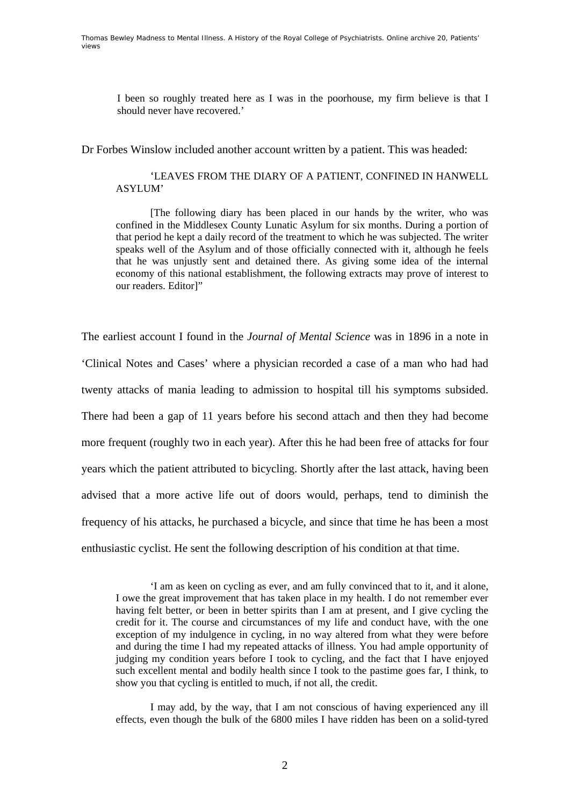I been so roughly treated here as I was in the poorhouse, my firm believe is that I should never have recovered.'

Dr Forbes Winslow included another account written by a patient. This was headed:

'LEAVES FROM THE DIARY OF A PATIENT, CONFINED IN HANWELL ASYLUM'

[The following diary has been placed in our hands by the writer, who was confined in the Middlesex County Lunatic Asylum for six months. During a portion of that period he kept a daily record of the treatment to which he was subjected. The writer speaks well of the Asylum and of those officially connected with it, although he feels that he was unjustly sent and detained there. As giving some idea of the internal economy of this national establishment, the following extracts may prove of interest to our readers. Editor]"

The earliest account I found in the *Journal of Mental Science* was in 1896 in a note in 'Clinical Notes and Cases' where a physician recorded a case of a man who had had twenty attacks of mania leading to admission to hospital till his symptoms subsided. There had been a gap of 11 years before his second attach and then they had become more frequent (roughly two in each year). After this he had been free of attacks for four years which the patient attributed to bicycling. Shortly after the last attack, having been advised that a more active life out of doors would, perhaps, tend to diminish the frequency of his attacks, he purchased a bicycle, and since that time he has been a most enthusiastic cyclist. He sent the following description of his condition at that time.

'I am as keen on cycling as ever, and am fully convinced that to it, and it alone, I owe the great improvement that has taken place in my health. I do not remember ever having felt better, or been in better spirits than I am at present, and I give cycling the credit for it. The course and circumstances of my life and conduct have, with the one exception of my indulgence in cycling, in no way altered from what they were before and during the time I had my repeated attacks of illness. You had ample opportunity of judging my condition years before I took to cycling, and the fact that I have enjoyed such excellent mental and bodily health since I took to the pastime goes far, I think, to show you that cycling is entitled to much, if not all, the credit.

I may add, by the way, that I am not conscious of having experienced any ill effects, even though the bulk of the 6800 miles I have ridden has been on a solid-tyred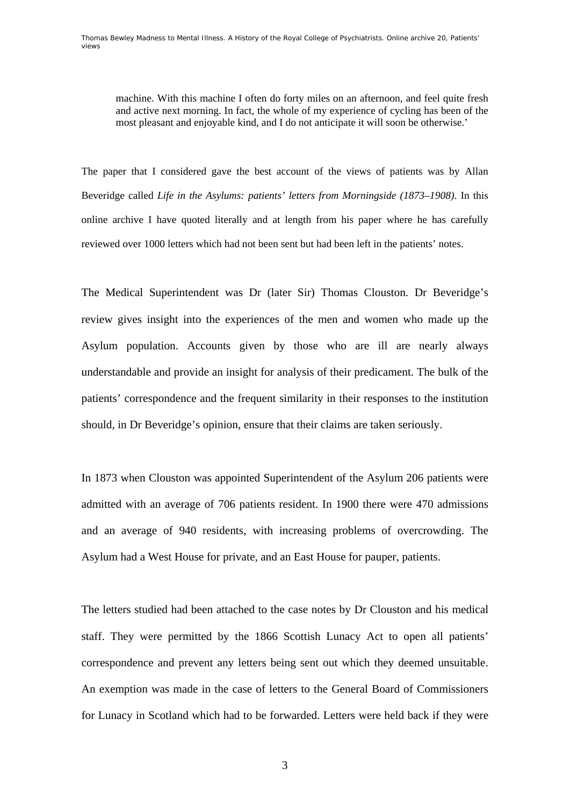machine. With this machine I often do forty miles on an afternoon, and feel quite fresh and active next morning. In fact, the whole of my experience of cycling has been of the most pleasant and enjoyable kind, and I do not anticipate it will soon be otherwise.'

The paper that I considered gave the best account of the views of patients was by Allan Beveridge called *Life in the Asylums: patients' letters from Morningside (1873–1908)*. In this online archive I have quoted literally and at length from his paper where he has carefully reviewed over 1000 letters which had not been sent but had been left in the patients' notes.

The Medical Superintendent was Dr (later Sir) Thomas Clouston. Dr Beveridge's review gives insight into the experiences of the men and women who made up the Asylum population. Accounts given by those who are ill are nearly always understandable and provide an insight for analysis of their predicament. The bulk of the patients' correspondence and the frequent similarity in their responses to the institution should, in Dr Beveridge's opinion, ensure that their claims are taken seriously.

In 1873 when Clouston was appointed Superintendent of the Asylum 206 patients were admitted with an average of 706 patients resident. In 1900 there were 470 admissions and an average of 940 residents, with increasing problems of overcrowding. The Asylum had a West House for private, and an East House for pauper, patients.

The letters studied had been attached to the case notes by Dr Clouston and his medical staff. They were permitted by the 1866 Scottish Lunacy Act to open all patients' correspondence and prevent any letters being sent out which they deemed unsuitable. An exemption was made in the case of letters to the General Board of Commissioners for Lunacy in Scotland which had to be forwarded. Letters were held back if they were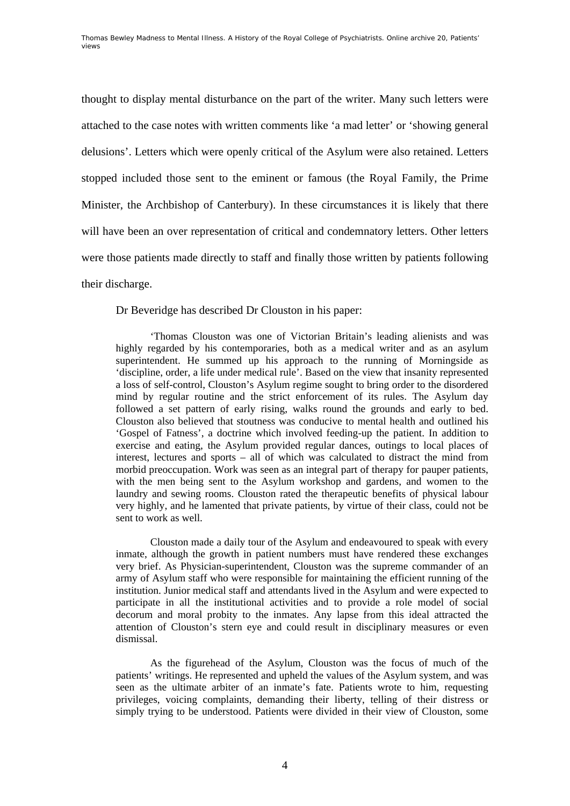thought to display mental disturbance on the part of the writer. Many such letters were attached to the case notes with written comments like 'a mad letter' or 'showing general delusions'. Letters which were openly critical of the Asylum were also retained. Letters stopped included those sent to the eminent or famous (the Royal Family, the Prime Minister, the Archbishop of Canterbury). In these circumstances it is likely that there will have been an over representation of critical and condemnatory letters. Other letters were those patients made directly to staff and finally those written by patients following their discharge.

Dr Beveridge has described Dr Clouston in his paper:

'Thomas Clouston was one of Victorian Britain's leading alienists and was highly regarded by his contemporaries, both as a medical writer and as an asylum superintendent. He summed up his approach to the running of Morningside as 'discipline, order, a life under medical rule'. Based on the view that insanity represented a loss of self-control, Clouston's Asylum regime sought to bring order to the disordered mind by regular routine and the strict enforcement of its rules. The Asylum day followed a set pattern of early rising, walks round the grounds and early to bed. Clouston also believed that stoutness was conducive to mental health and outlined his 'Gospel of Fatness', a doctrine which involved feeding-up the patient. In addition to exercise and eating, the Asylum provided regular dances, outings to local places of interest, lectures and sports – all of which was calculated to distract the mind from morbid preoccupation. Work was seen as an integral part of therapy for pauper patients, with the men being sent to the Asylum workshop and gardens, and women to the laundry and sewing rooms. Clouston rated the therapeutic benefits of physical labour very highly, and he lamented that private patients, by virtue of their class, could not be sent to work as well.

Clouston made a daily tour of the Asylum and endeavoured to speak with every inmate, although the growth in patient numbers must have rendered these exchanges very brief. As Physician-superintendent, Clouston was the supreme commander of an army of Asylum staff who were responsible for maintaining the efficient running of the institution. Junior medical staff and attendants lived in the Asylum and were expected to participate in all the institutional activities and to provide a role model of social decorum and moral probity to the inmates. Any lapse from this ideal attracted the attention of Clouston's stern eye and could result in disciplinary measures or even dismissal.

 As the figurehead of the Asylum, Clouston was the focus of much of the patients' writings. He represented and upheld the values of the Asylum system, and was seen as the ultimate arbiter of an inmate's fate. Patients wrote to him, requesting privileges, voicing complaints, demanding their liberty, telling of their distress or simply trying to be understood. Patients were divided in their view of Clouston, some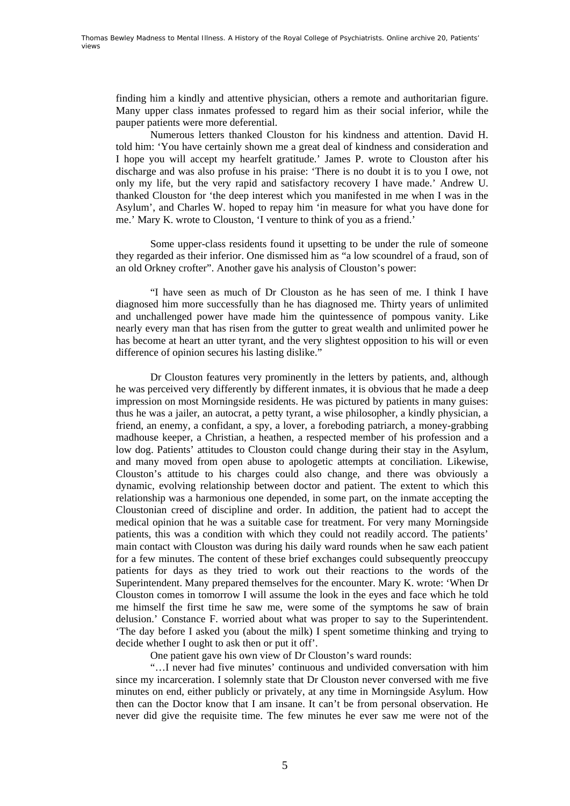finding him a kindly and attentive physician, others a remote and authoritarian figure. Many upper class inmates professed to regard him as their social inferior, while the pauper patients were more deferential.

 Numerous letters thanked Clouston for his kindness and attention. David H. told him: 'You have certainly shown me a great deal of kindness and consideration and I hope you will accept my hearfelt gratitude.' James P. wrote to Clouston after his discharge and was also profuse in his praise: 'There is no doubt it is to you I owe, not only my life, but the very rapid and satisfactory recovery I have made.' Andrew U. thanked Clouston for 'the deep interest which you manifested in me when I was in the Asylum', and Charles W. hoped to repay him 'in measure for what you have done for me.' Mary K. wrote to Clouston, 'I venture to think of you as a friend.'

Some upper-class residents found it upsetting to be under the rule of someone they regarded as their inferior. One dismissed him as "a low scoundrel of a fraud, son of an old Orkney crofter". Another gave his analysis of Clouston's power:

"I have seen as much of Dr Clouston as he has seen of me. I think I have diagnosed him more successfully than he has diagnosed me. Thirty years of unlimited and unchallenged power have made him the quintessence of pompous vanity. Like nearly every man that has risen from the gutter to great wealth and unlimited power he has become at heart an utter tyrant, and the very slightest opposition to his will or even difference of opinion secures his lasting dislike."

Dr Clouston features very prominently in the letters by patients, and, although he was perceived very differently by different inmates, it is obvious that he made a deep impression on most Morningside residents. He was pictured by patients in many guises: thus he was a jailer, an autocrat, a petty tyrant, a wise philosopher, a kindly physician, a friend, an enemy, a confidant, a spy, a lover, a foreboding patriarch, a money-grabbing madhouse keeper, a Christian, a heathen, a respected member of his profession and a low dog. Patients' attitudes to Clouston could change during their stay in the Asylum, and many moved from open abuse to apologetic attempts at conciliation. Likewise, Clouston's attitude to his charges could also change, and there was obviously a dynamic, evolving relationship between doctor and patient. The extent to which this relationship was a harmonious one depended, in some part, on the inmate accepting the Cloustonian creed of discipline and order. In addition, the patient had to accept the medical opinion that he was a suitable case for treatment. For very many Morningside patients, this was a condition with which they could not readily accord. The patients' main contact with Clouston was during his daily ward rounds when he saw each patient for a few minutes. The content of these brief exchanges could subsequently preoccupy patients for days as they tried to work out their reactions to the words of the Superintendent. Many prepared themselves for the encounter. Mary K. wrote: 'When Dr Clouston comes in tomorrow I will assume the look in the eyes and face which he told me himself the first time he saw me, were some of the symptoms he saw of brain delusion.' Constance F. worried about what was proper to say to the Superintendent. 'The day before I asked you (about the milk) I spent sometime thinking and trying to decide whether I ought to ask then or put it off'.

One patient gave his own view of Dr Clouston's ward rounds:

"…I never had five minutes' continuous and undivided conversation with him since my incarceration. I solemnly state that Dr Clouston never conversed with me five minutes on end, either publicly or privately, at any time in Morningside Asylum. How then can the Doctor know that I am insane. It can't be from personal observation. He never did give the requisite time. The few minutes he ever saw me were not of the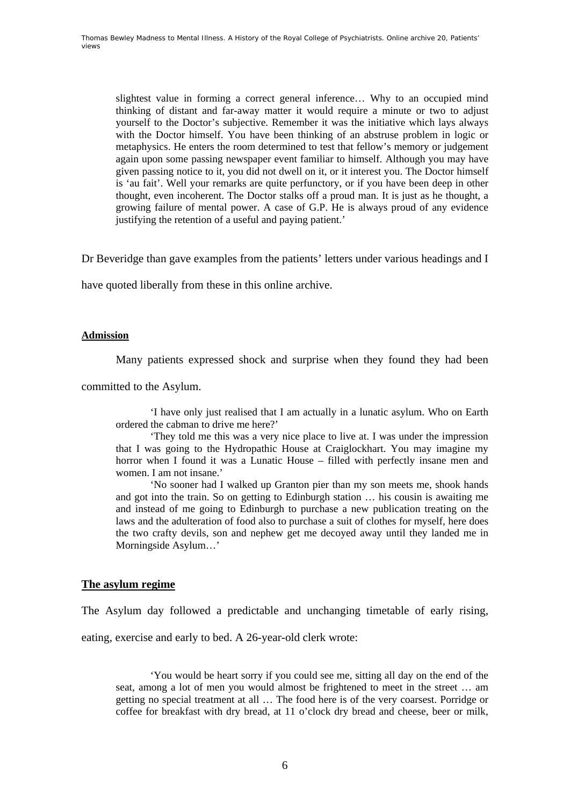slightest value in forming a correct general inference… Why to an occupied mind thinking of distant and far-away matter it would require a minute or two to adjust yourself to the Doctor's subjective. Remember it was the initiative which lays always with the Doctor himself. You have been thinking of an abstruse problem in logic or metaphysics. He enters the room determined to test that fellow's memory or judgement again upon some passing newspaper event familiar to himself. Although you may have given passing notice to it, you did not dwell on it, or it interest you. The Doctor himself is 'au fait'. Well your remarks are quite perfunctory, or if you have been deep in other thought, even incoherent. The Doctor stalks off a proud man. It is just as he thought, a growing failure of mental power. A case of G.P. He is always proud of any evidence justifying the retention of a useful and paying patient.'

Dr Beveridge than gave examples from the patients' letters under various headings and I

have quoted liberally from these in this online archive.

## **Admission**

Many patients expressed shock and surprise when they found they had been

committed to the Asylum.

'I have only just realised that I am actually in a lunatic asylum. Who on Earth ordered the cabman to drive me here?'

'They told me this was a very nice place to live at. I was under the impression that I was going to the Hydropathic House at Craiglockhart. You may imagine my horror when I found it was a Lunatic House – filled with perfectly insane men and women. I am not insane.'

'No sooner had I walked up Granton pier than my son meets me, shook hands and got into the train. So on getting to Edinburgh station … his cousin is awaiting me and instead of me going to Edinburgh to purchase a new publication treating on the laws and the adulteration of food also to purchase a suit of clothes for myself, here does the two crafty devils, son and nephew get me decoyed away until they landed me in Morningside Asylum…'

# **The asylum regime**

The Asylum day followed a predictable and unchanging timetable of early rising,

eating, exercise and early to bed. A 26-year-old clerk wrote:

'You would be heart sorry if you could see me, sitting all day on the end of the seat, among a lot of men you would almost be frightened to meet in the street … am getting no special treatment at all … The food here is of the very coarsest. Porridge or coffee for breakfast with dry bread, at 11 o'clock dry bread and cheese, beer or milk,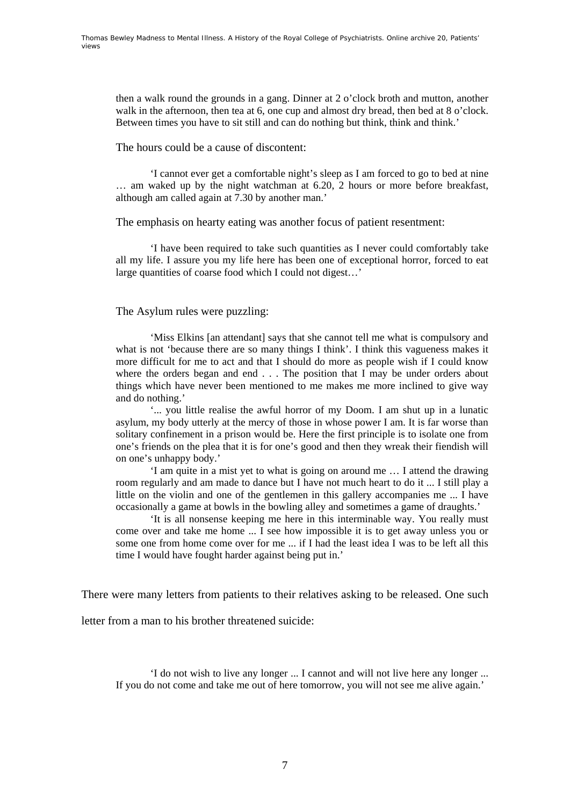then a walk round the grounds in a gang. Dinner at 2 o'clock broth and mutton, another walk in the afternoon, then tea at 6, one cup and almost dry bread, then bed at 8 o'clock. Between times you have to sit still and can do nothing but think, think and think.'

The hours could be a cause of discontent:

'I cannot ever get a comfortable night's sleep as I am forced to go to bed at nine … am waked up by the night watchman at 6.20, 2 hours or more before breakfast, although am called again at 7.30 by another man.'

The emphasis on hearty eating was another focus of patient resentment:

'I have been required to take such quantities as I never could comfortably take all my life. I assure you my life here has been one of exceptional horror, forced to eat large quantities of coarse food which I could not digest...'

# The Asylum rules were puzzling:

'Miss Elkins [an attendant] says that she cannot tell me what is compulsory and what is not 'because there are so many things I think'. I think this vagueness makes it more difficult for me to act and that I should do more as people wish if I could know where the orders began and end . . . The position that I may be under orders about things which have never been mentioned to me makes me more inclined to give way and do nothing.'

 '... you little realise the awful horror of my Doom. I am shut up in a lunatic asylum, my body utterly at the mercy of those in whose power I am. It is far worse than solitary confinement in a prison would be. Here the first principle is to isolate one from one's friends on the plea that it is for one's good and then they wreak their fiendish will on one's unhappy body.'

 'I am quite in a mist yet to what is going on around me … I attend the drawing room regularly and am made to dance but I have not much heart to do it ... I still play a little on the violin and one of the gentlemen in this gallery accompanies me ... I have occasionally a game at bowls in the bowling alley and sometimes a game of draughts.'

 'It is all nonsense keeping me here in this interminable way. You really must come over and take me home ... I see how impossible it is to get away unless you or some one from home come over for me ... if I had the least idea I was to be left all this time I would have fought harder against being put in.'

There were many letters from patients to their relatives asking to be released. One such

letter from a man to his brother threatened suicide:

'I do not wish to live any longer ... I cannot and will not live here any longer ... If you do not come and take me out of here tomorrow, you will not see me alive again.'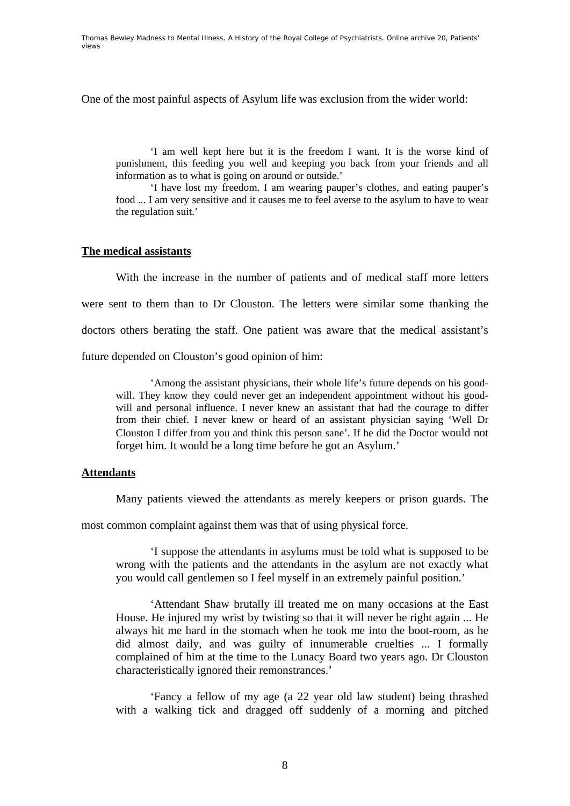One of the most painful aspects of Asylum life was exclusion from the wider world:

'I am well kept here but it is the freedom I want. It is the worse kind of punishment, this feeding you well and keeping you back from your friends and all information as to what is going on around or outside.'

'I have lost my freedom. I am wearing pauper's clothes, and eating pauper's food ... I am very sensitive and it causes me to feel averse to the asylum to have to wear the regulation suit.'

### **The medical assistants**

 With the increase in the number of patients and of medical staff more letters were sent to them than to Dr Clouston. The letters were similar some thanking the doctors others berating the staff. One patient was aware that the medical assistant's future depended on Clouston's good opinion of him:

 'Among the assistant physicians, their whole life's future depends on his goodwill. They know they could never get an independent appointment without his goodwill and personal influence. I never knew an assistant that had the courage to differ from their chief. I never knew or heard of an assistant physician saying 'Well Dr Clouston I differ from you and think this person sane'. If he did the Doctor would not forget him. It would be a long time before he got an Asylum.'

#### **Attendants**

Many patients viewed the attendants as merely keepers or prison guards. The

most common complaint against them was that of using physical force.

'I suppose the attendants in asylums must be told what is supposed to be wrong with the patients and the attendants in the asylum are not exactly what you would call gentlemen so I feel myself in an extremely painful position.'

'Attendant Shaw brutally ill treated me on many occasions at the East House. He injured my wrist by twisting so that it will never be right again ... He always hit me hard in the stomach when he took me into the boot-room, as he did almost daily, and was guilty of innumerable cruelties ... I formally complained of him at the time to the Lunacy Board two years ago. Dr Clouston characteristically ignored their remonstrances.'

'Fancy a fellow of my age (a 22 year old law student) being thrashed with a walking tick and dragged off suddenly of a morning and pitched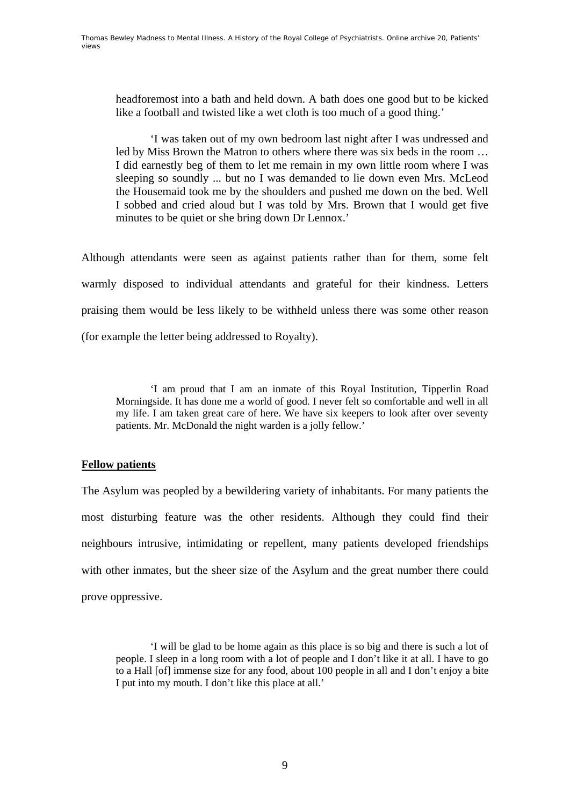headforemost into a bath and held down. A bath does one good but to be kicked like a football and twisted like a wet cloth is too much of a good thing.'

'I was taken out of my own bedroom last night after I was undressed and led by Miss Brown the Matron to others where there was six beds in the room … I did earnestly beg of them to let me remain in my own little room where I was sleeping so soundly ... but no I was demanded to lie down even Mrs. McLeod the Housemaid took me by the shoulders and pushed me down on the bed. Well I sobbed and cried aloud but I was told by Mrs. Brown that I would get five minutes to be quiet or she bring down Dr Lennox.'

Although attendants were seen as against patients rather than for them, some felt warmly disposed to individual attendants and grateful for their kindness. Letters praising them would be less likely to be withheld unless there was some other reason (for example the letter being addressed to Royalty).

'I am proud that I am an inmate of this Royal Institution, Tipperlin Road Morningside. It has done me a world of good. I never felt so comfortable and well in all my life. I am taken great care of here. We have six keepers to look after over seventy patients. Mr. McDonald the night warden is a jolly fellow.'

# **Fellow patients**

The Asylum was peopled by a bewildering variety of inhabitants. For many patients the most disturbing feature was the other residents. Although they could find their neighbours intrusive, intimidating or repellent, many patients developed friendships with other inmates, but the sheer size of the Asylum and the great number there could prove oppressive.

<sup>&#</sup>x27;I will be glad to be home again as this place is so big and there is such a lot of people. I sleep in a long room with a lot of people and I don't like it at all. I have to go to a Hall [of] immense size for any food, about 100 people in all and I don't enjoy a bite I put into my mouth. I don't like this place at all.'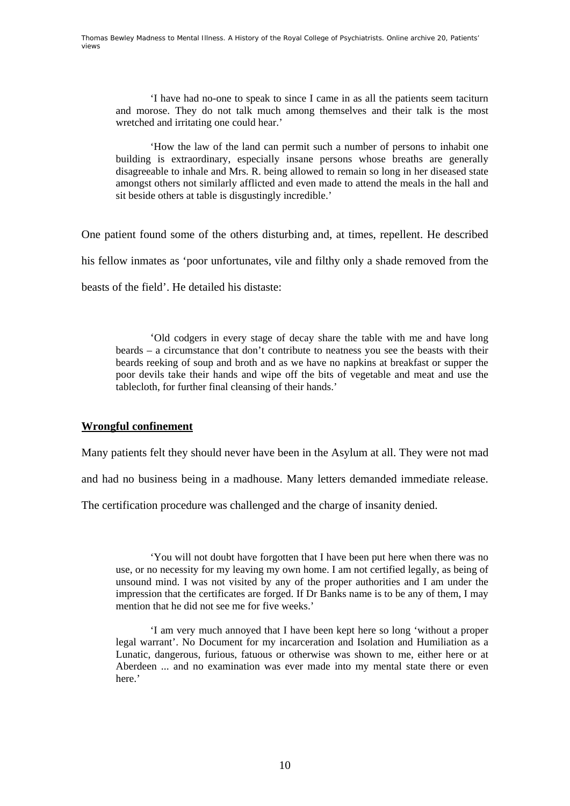'I have had no-one to speak to since I came in as all the patients seem taciturn and morose. They do not talk much among themselves and their talk is the most wretched and irritating one could hear.'

'How the law of the land can permit such a number of persons to inhabit one building is extraordinary, especially insane persons whose breaths are generally disagreeable to inhale and Mrs. R. being allowed to remain so long in her diseased state amongst others not similarly afflicted and even made to attend the meals in the hall and sit beside others at table is disgustingly incredible.'

One patient found some of the others disturbing and, at times, repellent. He described his fellow inmates as 'poor unfortunates, vile and filthy only a shade removed from the beasts of the field'. He detailed his distaste:

 'Old codgers in every stage of decay share the table with me and have long beards – a circumstance that don't contribute to neatness you see the beasts with their beards reeking of soup and broth and as we have no napkins at breakfast or supper the poor devils take their hands and wipe off the bits of vegetable and meat and use the tablecloth, for further final cleansing of their hands.'

# **Wrongful confinement**

Many patients felt they should never have been in the Asylum at all. They were not mad

and had no business being in a madhouse. Many letters demanded immediate release.

The certification procedure was challenged and the charge of insanity denied.

'You will not doubt have forgotten that I have been put here when there was no use, or no necessity for my leaving my own home. I am not certified legally, as being of unsound mind. I was not visited by any of the proper authorities and I am under the impression that the certificates are forged. If Dr Banks name is to be any of them, I may mention that he did not see me for five weeks.'

'I am very much annoyed that I have been kept here so long 'without a proper legal warrant'. No Document for my incarceration and Isolation and Humiliation as a Lunatic, dangerous, furious, fatuous or otherwise was shown to me, either here or at Aberdeen ... and no examination was ever made into my mental state there or even here'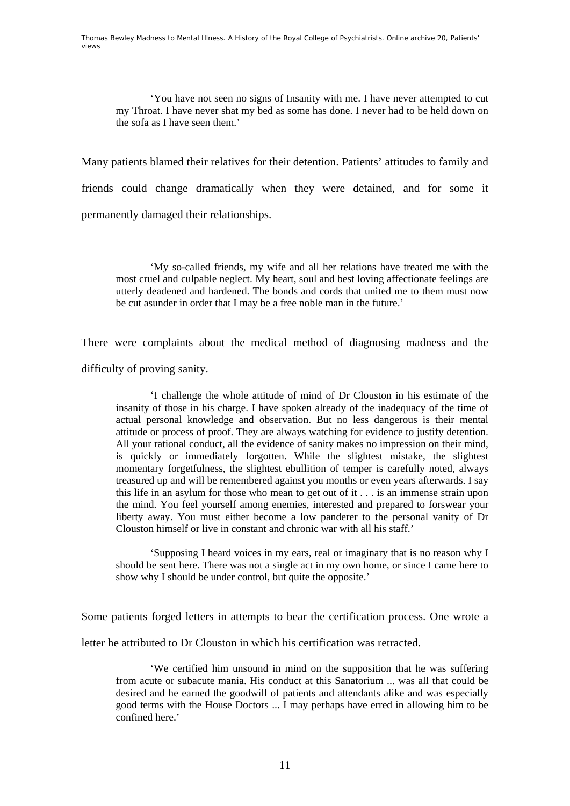'You have not seen no signs of Insanity with me. I have never attempted to cut my Throat. I have never shat my bed as some has done. I never had to be held down on the sofa as I have seen them.'

Many patients blamed their relatives for their detention. Patients' attitudes to family and friends could change dramatically when they were detained, and for some it permanently damaged their relationships.

'My so-called friends, my wife and all her relations have treated me with the most cruel and culpable neglect. My heart, soul and best loving affectionate feelings are utterly deadened and hardened. The bonds and cords that united me to them must now be cut asunder in order that I may be a free noble man in the future.'

There were complaints about the medical method of diagnosing madness and the

difficulty of proving sanity.

 'I challenge the whole attitude of mind of Dr Clouston in his estimate of the insanity of those in his charge. I have spoken already of the inadequacy of the time of actual personal knowledge and observation. But no less dangerous is their mental attitude or process of proof. They are always watching for evidence to justify detention. All your rational conduct, all the evidence of sanity makes no impression on their mind, is quickly or immediately forgotten. While the slightest mistake, the slightest momentary forgetfulness, the slightest ebullition of temper is carefully noted, always treasured up and will be remembered against you months or even years afterwards. I say this life in an asylum for those who mean to get out of it . . . is an immense strain upon the mind. You feel yourself among enemies, interested and prepared to forswear your liberty away. You must either become a low panderer to the personal vanity of Dr Clouston himself or live in constant and chronic war with all his staff.'

'Supposing I heard voices in my ears, real or imaginary that is no reason why I should be sent here. There was not a single act in my own home, or since I came here to show why I should be under control, but quite the opposite.'

Some patients forged letters in attempts to bear the certification process. One wrote a

letter he attributed to Dr Clouston in which his certification was retracted.

'We certified him unsound in mind on the supposition that he was suffering from acute or subacute mania. His conduct at this Sanatorium ... was all that could be desired and he earned the goodwill of patients and attendants alike and was especially good terms with the House Doctors ... I may perhaps have erred in allowing him to be confined here.'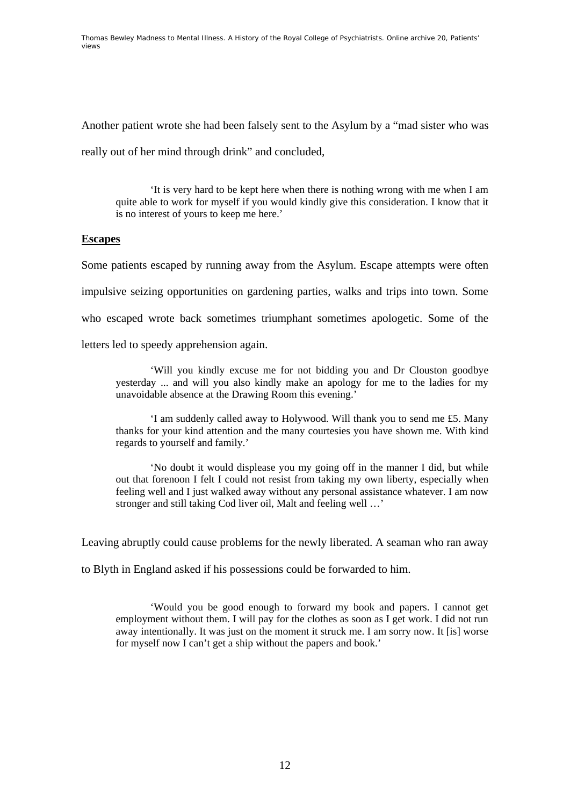Another patient wrote she had been falsely sent to the Asylum by a "mad sister who was

really out of her mind through drink" and concluded,

'It is very hard to be kept here when there is nothing wrong with me when I am quite able to work for myself if you would kindly give this consideration. I know that it is no interest of yours to keep me here.'

## **Escapes**

Some patients escaped by running away from the Asylum. Escape attempts were often impulsive seizing opportunities on gardening parties, walks and trips into town. Some who escaped wrote back sometimes triumphant sometimes apologetic. Some of the letters led to speedy apprehension again.

'Will you kindly excuse me for not bidding you and Dr Clouston goodbye yesterday ... and will you also kindly make an apology for me to the ladies for my unavoidable absence at the Drawing Room this evening.'

'I am suddenly called away to Holywood. Will thank you to send me £5. Many thanks for your kind attention and the many courtesies you have shown me. With kind regards to yourself and family.'

'No doubt it would displease you my going off in the manner I did, but while out that forenoon I felt I could not resist from taking my own liberty, especially when feeling well and I just walked away without any personal assistance whatever. I am now stronger and still taking Cod liver oil, Malt and feeling well …'

Leaving abruptly could cause problems for the newly liberated. A seaman who ran away

to Blyth in England asked if his possessions could be forwarded to him.

'Would you be good enough to forward my book and papers. I cannot get employment without them. I will pay for the clothes as soon as I get work. I did not run away intentionally. It was just on the moment it struck me. I am sorry now. It [is] worse for myself now I can't get a ship without the papers and book.'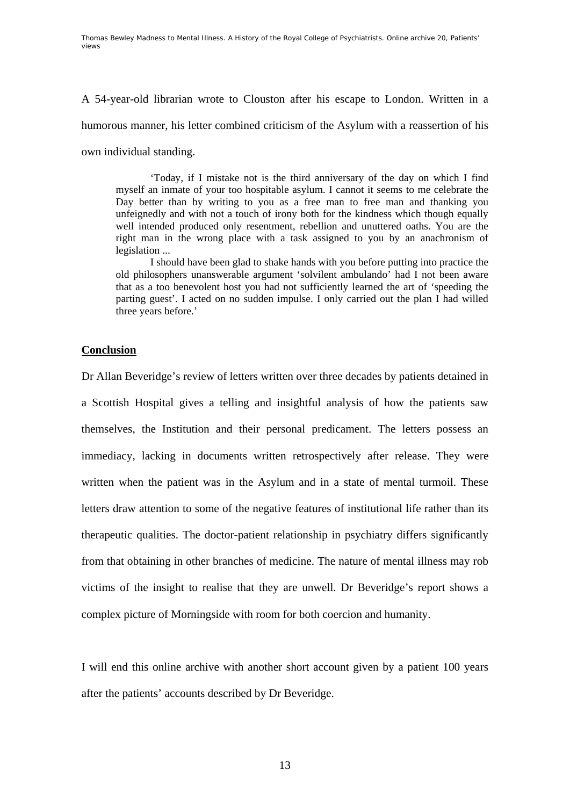A 54-year-old librarian wrote to Clouston after his escape to London. Written in a humorous manner, his letter combined criticism of the Asylum with a reassertion of his own individual standing.

'Today, if I mistake not is the third anniversary of the day on which I find myself an inmate of your too hospitable asylum. I cannot it seems to me celebrate the Day better than by writing to you as a free man to free man and thanking you unfeignedly and with not a touch of irony both for the kindness which though equally well intended produced only resentment, rebellion and unuttered oaths. You are the right man in the wrong place with a task assigned to you by an anachronism of legislation ...

I should have been glad to shake hands with you before putting into practice the old philosophers unanswerable argument 'solvilent ambulando' had I not been aware that as a too benevolent host you had not sufficiently learned the art of 'speeding the parting guest'. I acted on no sudden impulse. I only carried out the plan I had willed three years before.'

## **Conclusion**

Dr Allan Beveridge's review of letters written over three decades by patients detained in a Scottish Hospital gives a telling and insightful analysis of how the patients saw themselves, the Institution and their personal predicament. The letters possess an immediacy, lacking in documents written retrospectively after release. They were written when the patient was in the Asylum and in a state of mental turmoil. These letters draw attention to some of the negative features of institutional life rather than its therapeutic qualities. The doctor-patient relationship in psychiatry differs significantly from that obtaining in other branches of medicine. The nature of mental illness may rob victims of the insight to realise that they are unwell. Dr Beveridge's report shows a complex picture of Morningside with room for both coercion and humanity.

I will end this online archive with another short account given by a patient 100 years after the patients' accounts described by Dr Beveridge.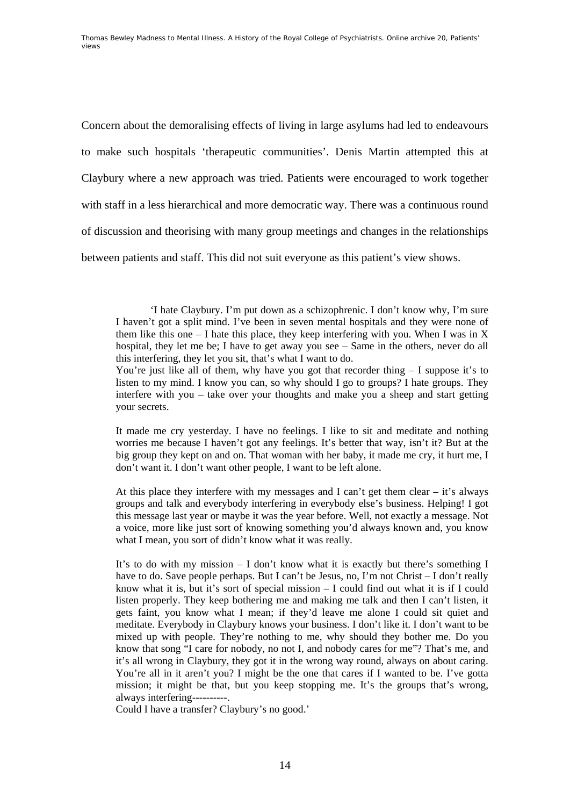Concern about the demoralising effects of living in large asylums had led to endeavours to make such hospitals 'therapeutic communities'. Denis Martin attempted this at Claybury where a new approach was tried. Patients were encouraged to work together with staff in a less hierarchical and more democratic way. There was a continuous round of discussion and theorising with many group meetings and changes in the relationships between patients and staff. This did not suit everyone as this patient's view shows.

'I hate Claybury. I'm put down as a schizophrenic. I don't know why, I'm sure I haven't got a split mind. I've been in seven mental hospitals and they were none of them like this one  $-1$  hate this place, they keep interfering with you. When I was in X hospital, they let me be; I have to get away you see – Same in the others, never do all this interfering, they let you sit, that's what I want to do.

You're just like all of them, why have you got that recorder thing  $-1$  suppose it's to listen to my mind. I know you can, so why should I go to groups? I hate groups. They interfere with you – take over your thoughts and make you a sheep and start getting your secrets.

It made me cry yesterday. I have no feelings. I like to sit and meditate and nothing worries me because I haven't got any feelings. It's better that way, isn't it? But at the big group they kept on and on. That woman with her baby, it made me cry, it hurt me, I don't want it. I don't want other people, I want to be left alone.

At this place they interfere with my messages and I can't get them clear – it's always groups and talk and everybody interfering in everybody else's business. Helping! I got this message last year or maybe it was the year before. Well, not exactly a message. Not a voice, more like just sort of knowing something you'd always known and, you know what I mean, you sort of didn't know what it was really.

It's to do with my mission – I don't know what it is exactly but there's something I have to do. Save people perhaps. But I can't be Jesus, no, I'm not Christ – I don't really know what it is, but it's sort of special mission – I could find out what it is if I could listen properly. They keep bothering me and making me talk and then I can't listen, it gets faint, you know what I mean; if they'd leave me alone I could sit quiet and meditate. Everybody in Claybury knows your business. I don't like it. I don't want to be mixed up with people. They're nothing to me, why should they bother me. Do you know that song "I care for nobody, no not I, and nobody cares for me"? That's me, and it's all wrong in Claybury, they got it in the wrong way round, always on about caring. You're all in it aren't you? I might be the one that cares if I wanted to be. I've gotta mission; it might be that, but you keep stopping me. It's the groups that's wrong, always interfering----------.

Could I have a transfer? Claybury's no good.'